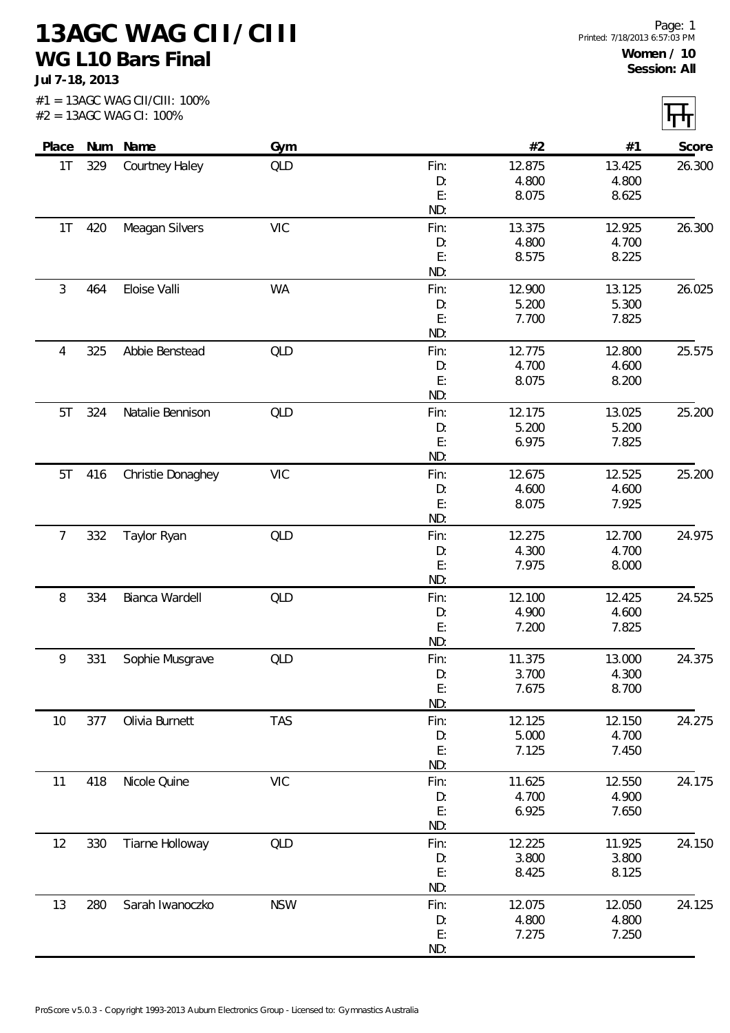**13AGC WAG CII/CIII WG L10 Bars Final**

**Jul 7-18, 2013**

| Place           |     | Num Name          | Gym        |      | #2     | #1     | Score  |
|-----------------|-----|-------------------|------------|------|--------|--------|--------|
| 1T              | 329 | Courtney Haley    | <b>QLD</b> | Fin: | 12.875 | 13.425 | 26.300 |
|                 |     |                   |            | D:   | 4.800  | 4.800  |        |
|                 |     |                   |            | E:   | 8.075  | 8.625  |        |
|                 |     |                   |            | ND:  |        |        |        |
| 1T              | 420 | Meagan Silvers    | <b>VIC</b> | Fin: | 13.375 | 12.925 | 26.300 |
|                 |     |                   |            | D:   | 4.800  | 4.700  |        |
|                 |     |                   |            | E:   | 8.575  | 8.225  |        |
|                 |     |                   |            | ND:  |        |        |        |
| 3               | 464 | Eloise Valli      | <b>WA</b>  | Fin: | 12.900 | 13.125 | 26.025 |
|                 |     |                   |            | D:   | 5.200  | 5.300  |        |
|                 |     |                   |            | E:   | 7.700  | 7.825  |        |
|                 |     |                   |            | ND:  |        |        |        |
| 4               | 325 | Abbie Benstead    | QLD        | Fin: | 12.775 | 12.800 | 25.575 |
|                 |     |                   |            | D:   | 4.700  | 4.600  |        |
|                 |     |                   |            | E:   | 8.075  | 8.200  |        |
|                 |     |                   |            | ND:  |        |        |        |
| 5T              | 324 | Natalie Bennison  | QLD        | Fin: | 12.175 | 13.025 | 25.200 |
|                 |     |                   |            | D:   | 5.200  | 5.200  |        |
|                 |     |                   |            | E:   | 6.975  | 7.825  |        |
|                 |     |                   |            | ND:  |        |        |        |
| 5T              | 416 | Christie Donaghey | <b>VIC</b> | Fin: | 12.675 | 12.525 | 25.200 |
|                 |     |                   |            | D:   | 4.600  | 4.600  |        |
|                 |     |                   |            | E:   | 8.075  | 7.925  |        |
|                 |     |                   |            | ND:  |        |        |        |
| $7\overline{ }$ | 332 | Taylor Ryan       | <b>QLD</b> | Fin: | 12.275 | 12.700 | 24.975 |
|                 |     |                   |            | D:   | 4.300  | 4.700  |        |
|                 |     |                   |            | E:   | 7.975  | 8.000  |        |
|                 |     |                   |            | ND:  |        |        |        |
| 8               | 334 | Bianca Wardell    | QLD        | Fin: | 12.100 | 12.425 | 24.525 |
|                 |     |                   |            | D:   | 4.900  | 4.600  |        |
|                 |     |                   |            | E:   | 7.200  | 7.825  |        |
|                 |     |                   |            | ND:  |        |        |        |
| 9               | 331 | Sophie Musgrave   | <b>QLD</b> | Fin: | 11.375 | 13.000 | 24.375 |
|                 |     |                   |            | D:   | 3.700  | 4.300  |        |
|                 |     |                   |            | E:   | 7.675  | 8.700  |        |
|                 |     |                   |            | ND:  |        |        |        |
| 10              | 377 | Olivia Burnett    | <b>TAS</b> | Fin: | 12.125 | 12.150 | 24.275 |
|                 |     |                   |            | D:   | 5.000  | 4.700  |        |
|                 |     |                   |            | E:   | 7.125  | 7.450  |        |
|                 |     |                   |            | ND:  |        |        |        |
| 11              | 418 | Nicole Quine      | <b>VIC</b> | Fin: | 11.625 | 12.550 | 24.175 |
|                 |     |                   |            | D:   | 4.700  | 4.900  |        |
|                 |     |                   |            | E:   | 6.925  | 7.650  |        |
|                 |     |                   |            | ND:  |        |        |        |
| 12              | 330 | Tiarne Holloway   | QLD        | Fin: | 12.225 | 11.925 | 24.150 |
|                 |     |                   |            | D:   | 3.800  | 3.800  |        |
|                 |     |                   |            | E:   | 8.425  | 8.125  |        |
|                 |     |                   |            | ND:  |        |        |        |
| 13              |     |                   |            |      |        |        |        |
|                 | 280 | Sarah Iwanoczko   | <b>NSW</b> | Fin: | 12.075 | 12.050 | 24.125 |
|                 |     |                   |            | D:   | 4.800  | 4.800  |        |
|                 |     |                   |            | E:   | 7.275  | 7.250  |        |
|                 |     |                   |            | ND:  |        |        |        |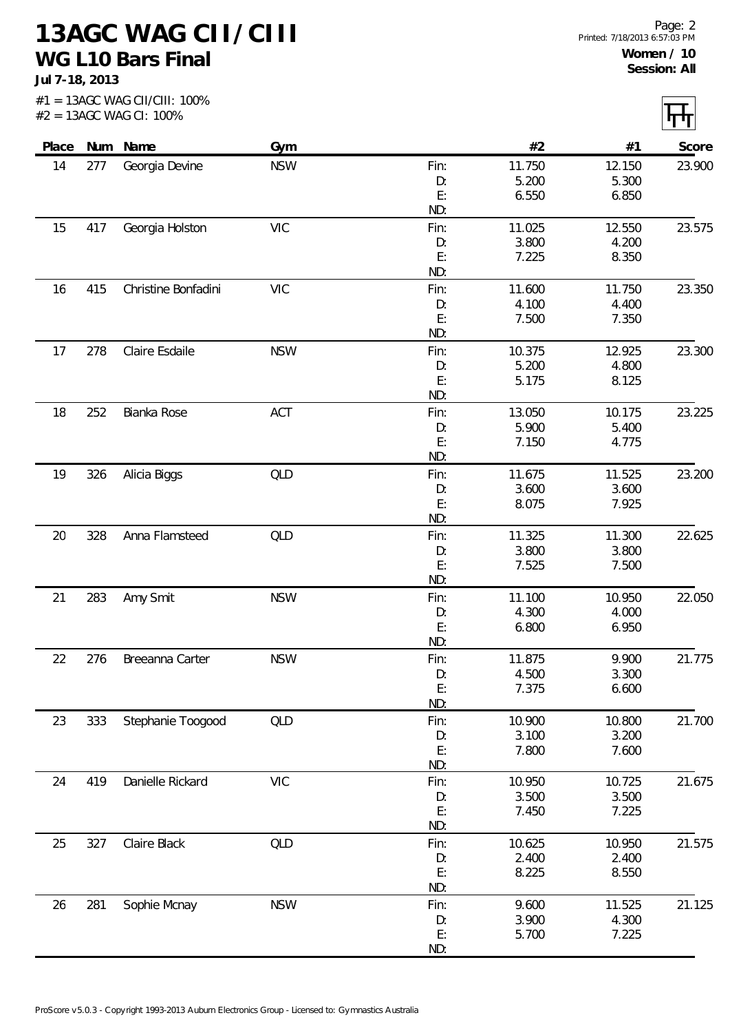**13AGC WAG CII/CIII WG L10 Bars Final**

**Jul 7-18, 2013**

 $\boxed{\top}$ 

|     |                                                             |                                                                                                                                                                                           |                                                                                                                                   |                                                                                                                                                                                                                                                             |                                                                                                                                                                                                                                                                                          | Score                                                                                                                                                                                                                                                                                    |
|-----|-------------------------------------------------------------|-------------------------------------------------------------------------------------------------------------------------------------------------------------------------------------------|-----------------------------------------------------------------------------------------------------------------------------------|-------------------------------------------------------------------------------------------------------------------------------------------------------------------------------------------------------------------------------------------------------------|------------------------------------------------------------------------------------------------------------------------------------------------------------------------------------------------------------------------------------------------------------------------------------------|------------------------------------------------------------------------------------------------------------------------------------------------------------------------------------------------------------------------------------------------------------------------------------------|
|     |                                                             |                                                                                                                                                                                           |                                                                                                                                   |                                                                                                                                                                                                                                                             |                                                                                                                                                                                                                                                                                          | 23.900                                                                                                                                                                                                                                                                                   |
|     |                                                             |                                                                                                                                                                                           |                                                                                                                                   |                                                                                                                                                                                                                                                             |                                                                                                                                                                                                                                                                                          |                                                                                                                                                                                                                                                                                          |
|     |                                                             |                                                                                                                                                                                           | E:                                                                                                                                |                                                                                                                                                                                                                                                             |                                                                                                                                                                                                                                                                                          |                                                                                                                                                                                                                                                                                          |
|     |                                                             |                                                                                                                                                                                           | ND:                                                                                                                               |                                                                                                                                                                                                                                                             |                                                                                                                                                                                                                                                                                          |                                                                                                                                                                                                                                                                                          |
| 417 | Georgia Holston                                             | <b>VIC</b>                                                                                                                                                                                | Fin:                                                                                                                              | 11.025                                                                                                                                                                                                                                                      | 12.550                                                                                                                                                                                                                                                                                   | 23.575                                                                                                                                                                                                                                                                                   |
|     |                                                             |                                                                                                                                                                                           | D:                                                                                                                                | 3.800                                                                                                                                                                                                                                                       | 4.200                                                                                                                                                                                                                                                                                    |                                                                                                                                                                                                                                                                                          |
|     |                                                             |                                                                                                                                                                                           |                                                                                                                                   |                                                                                                                                                                                                                                                             |                                                                                                                                                                                                                                                                                          |                                                                                                                                                                                                                                                                                          |
|     |                                                             |                                                                                                                                                                                           |                                                                                                                                   |                                                                                                                                                                                                                                                             |                                                                                                                                                                                                                                                                                          |                                                                                                                                                                                                                                                                                          |
|     |                                                             |                                                                                                                                                                                           |                                                                                                                                   |                                                                                                                                                                                                                                                             |                                                                                                                                                                                                                                                                                          | 23.350                                                                                                                                                                                                                                                                                   |
|     |                                                             |                                                                                                                                                                                           |                                                                                                                                   |                                                                                                                                                                                                                                                             |                                                                                                                                                                                                                                                                                          |                                                                                                                                                                                                                                                                                          |
|     |                                                             |                                                                                                                                                                                           |                                                                                                                                   |                                                                                                                                                                                                                                                             |                                                                                                                                                                                                                                                                                          |                                                                                                                                                                                                                                                                                          |
|     |                                                             |                                                                                                                                                                                           |                                                                                                                                   |                                                                                                                                                                                                                                                             |                                                                                                                                                                                                                                                                                          | 23.300                                                                                                                                                                                                                                                                                   |
|     |                                                             |                                                                                                                                                                                           |                                                                                                                                   |                                                                                                                                                                                                                                                             |                                                                                                                                                                                                                                                                                          |                                                                                                                                                                                                                                                                                          |
|     |                                                             |                                                                                                                                                                                           |                                                                                                                                   |                                                                                                                                                                                                                                                             |                                                                                                                                                                                                                                                                                          |                                                                                                                                                                                                                                                                                          |
|     |                                                             |                                                                                                                                                                                           | ND:                                                                                                                               |                                                                                                                                                                                                                                                             |                                                                                                                                                                                                                                                                                          |                                                                                                                                                                                                                                                                                          |
| 252 | Bianka Rose                                                 | ACT                                                                                                                                                                                       | Fin:                                                                                                                              | 13.050                                                                                                                                                                                                                                                      | 10.175                                                                                                                                                                                                                                                                                   | 23.225                                                                                                                                                                                                                                                                                   |
|     |                                                             |                                                                                                                                                                                           | D:                                                                                                                                | 5.900                                                                                                                                                                                                                                                       | 5.400                                                                                                                                                                                                                                                                                    |                                                                                                                                                                                                                                                                                          |
|     |                                                             |                                                                                                                                                                                           |                                                                                                                                   |                                                                                                                                                                                                                                                             |                                                                                                                                                                                                                                                                                          |                                                                                                                                                                                                                                                                                          |
|     |                                                             |                                                                                                                                                                                           |                                                                                                                                   |                                                                                                                                                                                                                                                             |                                                                                                                                                                                                                                                                                          |                                                                                                                                                                                                                                                                                          |
|     |                                                             |                                                                                                                                                                                           |                                                                                                                                   |                                                                                                                                                                                                                                                             |                                                                                                                                                                                                                                                                                          | 23.200                                                                                                                                                                                                                                                                                   |
|     |                                                             |                                                                                                                                                                                           |                                                                                                                                   |                                                                                                                                                                                                                                                             |                                                                                                                                                                                                                                                                                          |                                                                                                                                                                                                                                                                                          |
|     |                                                             |                                                                                                                                                                                           |                                                                                                                                   |                                                                                                                                                                                                                                                             |                                                                                                                                                                                                                                                                                          |                                                                                                                                                                                                                                                                                          |
|     |                                                             |                                                                                                                                                                                           |                                                                                                                                   |                                                                                                                                                                                                                                                             |                                                                                                                                                                                                                                                                                          | 22.625                                                                                                                                                                                                                                                                                   |
|     |                                                             |                                                                                                                                                                                           |                                                                                                                                   |                                                                                                                                                                                                                                                             |                                                                                                                                                                                                                                                                                          |                                                                                                                                                                                                                                                                                          |
|     |                                                             |                                                                                                                                                                                           |                                                                                                                                   |                                                                                                                                                                                                                                                             |                                                                                                                                                                                                                                                                                          |                                                                                                                                                                                                                                                                                          |
|     |                                                             |                                                                                                                                                                                           | ND:                                                                                                                               |                                                                                                                                                                                                                                                             |                                                                                                                                                                                                                                                                                          |                                                                                                                                                                                                                                                                                          |
| 283 |                                                             | <b>NSW</b>                                                                                                                                                                                | Fin:                                                                                                                              | 11.100                                                                                                                                                                                                                                                      | 10.950                                                                                                                                                                                                                                                                                   | 22.050                                                                                                                                                                                                                                                                                   |
|     |                                                             |                                                                                                                                                                                           | D:                                                                                                                                | 4.300                                                                                                                                                                                                                                                       | 4.000                                                                                                                                                                                                                                                                                    |                                                                                                                                                                                                                                                                                          |
|     |                                                             |                                                                                                                                                                                           | E:                                                                                                                                | 6.800                                                                                                                                                                                                                                                       | 6.950                                                                                                                                                                                                                                                                                    |                                                                                                                                                                                                                                                                                          |
|     |                                                             |                                                                                                                                                                                           |                                                                                                                                   |                                                                                                                                                                                                                                                             |                                                                                                                                                                                                                                                                                          |                                                                                                                                                                                                                                                                                          |
|     |                                                             |                                                                                                                                                                                           |                                                                                                                                   |                                                                                                                                                                                                                                                             |                                                                                                                                                                                                                                                                                          | 21.775                                                                                                                                                                                                                                                                                   |
|     |                                                             |                                                                                                                                                                                           |                                                                                                                                   |                                                                                                                                                                                                                                                             |                                                                                                                                                                                                                                                                                          |                                                                                                                                                                                                                                                                                          |
|     |                                                             |                                                                                                                                                                                           |                                                                                                                                   |                                                                                                                                                                                                                                                             |                                                                                                                                                                                                                                                                                          |                                                                                                                                                                                                                                                                                          |
|     |                                                             |                                                                                                                                                                                           |                                                                                                                                   |                                                                                                                                                                                                                                                             |                                                                                                                                                                                                                                                                                          | 21.700                                                                                                                                                                                                                                                                                   |
|     |                                                             |                                                                                                                                                                                           |                                                                                                                                   |                                                                                                                                                                                                                                                             |                                                                                                                                                                                                                                                                                          |                                                                                                                                                                                                                                                                                          |
|     |                                                             |                                                                                                                                                                                           |                                                                                                                                   |                                                                                                                                                                                                                                                             |                                                                                                                                                                                                                                                                                          |                                                                                                                                                                                                                                                                                          |
|     |                                                             |                                                                                                                                                                                           | ND:                                                                                                                               |                                                                                                                                                                                                                                                             |                                                                                                                                                                                                                                                                                          |                                                                                                                                                                                                                                                                                          |
| 419 | Danielle Rickard                                            | <b>VIC</b>                                                                                                                                                                                | Fin:                                                                                                                              | 10.950                                                                                                                                                                                                                                                      | 10.725                                                                                                                                                                                                                                                                                   | 21.675                                                                                                                                                                                                                                                                                   |
|     |                                                             |                                                                                                                                                                                           | D:                                                                                                                                | 3.500                                                                                                                                                                                                                                                       | 3.500                                                                                                                                                                                                                                                                                    |                                                                                                                                                                                                                                                                                          |
|     |                                                             |                                                                                                                                                                                           |                                                                                                                                   |                                                                                                                                                                                                                                                             |                                                                                                                                                                                                                                                                                          |                                                                                                                                                                                                                                                                                          |
|     |                                                             |                                                                                                                                                                                           |                                                                                                                                   |                                                                                                                                                                                                                                                             |                                                                                                                                                                                                                                                                                          |                                                                                                                                                                                                                                                                                          |
|     |                                                             |                                                                                                                                                                                           |                                                                                                                                   |                                                                                                                                                                                                                                                             |                                                                                                                                                                                                                                                                                          | 21.575                                                                                                                                                                                                                                                                                   |
|     |                                                             |                                                                                                                                                                                           |                                                                                                                                   |                                                                                                                                                                                                                                                             |                                                                                                                                                                                                                                                                                          |                                                                                                                                                                                                                                                                                          |
|     |                                                             |                                                                                                                                                                                           |                                                                                                                                   |                                                                                                                                                                                                                                                             |                                                                                                                                                                                                                                                                                          |                                                                                                                                                                                                                                                                                          |
|     |                                                             |                                                                                                                                                                                           |                                                                                                                                   |                                                                                                                                                                                                                                                             |                                                                                                                                                                                                                                                                                          | 21.125                                                                                                                                                                                                                                                                                   |
|     |                                                             |                                                                                                                                                                                           |                                                                                                                                   |                                                                                                                                                                                                                                                             |                                                                                                                                                                                                                                                                                          |                                                                                                                                                                                                                                                                                          |
|     |                                                             |                                                                                                                                                                                           |                                                                                                                                   |                                                                                                                                                                                                                                                             |                                                                                                                                                                                                                                                                                          |                                                                                                                                                                                                                                                                                          |
|     |                                                             |                                                                                                                                                                                           |                                                                                                                                   |                                                                                                                                                                                                                                                             |                                                                                                                                                                                                                                                                                          |                                                                                                                                                                                                                                                                                          |
|     | 277<br>415<br>278<br>326<br>328<br>276<br>333<br>327<br>281 | Num Name<br>Georgia Devine<br>Christine Bonfadini<br>Claire Esdaile<br>Alicia Biggs<br>Anna Flamsteed<br>Amy Smit<br>Breeanna Carter<br>Stephanie Toogood<br>Claire Black<br>Sophie Mcnay | Gym<br><b>NSW</b><br><b>VIC</b><br><b>NSW</b><br><b>QLD</b><br><b>QLD</b><br><b>NSW</b><br><b>QLD</b><br><b>QLD</b><br><b>NSW</b> | Fin:<br>D:<br>E:<br>ND:<br>Fin:<br>D:<br>E:<br>ND:<br>Fin:<br>D:<br>E:<br>E:<br>ND:<br>Fin:<br>D:<br>E:<br>ND:<br>Fin:<br>D:<br>E:<br>ND:<br>Fin:<br>D:<br>E:<br>ND:<br>Fin:<br>D:<br>E:<br>E:<br>ND:<br>Fin:<br>D:<br>E:<br>ND:<br>Fin:<br>D:<br>E:<br>ND: | #2<br>11.750<br>5.200<br>6.550<br>7.225<br>11.600<br>4.100<br>7.500<br>10.375<br>5.200<br>5.175<br>7.150<br>11.675<br>3.600<br>8.075<br>11.325<br>3.800<br>7.525<br>11.875<br>4.500<br>7.375<br>10.900<br>3.100<br>7.800<br>7.450<br>10.625<br>2.400<br>8.225<br>9.600<br>3.900<br>5.700 | #1<br>12.150<br>5.300<br>6.850<br>8.350<br>11.750<br>4.400<br>7.350<br>12.925<br>4.800<br>8.125<br>4.775<br>11.525<br>3.600<br>7.925<br>11.300<br>3.800<br>7.500<br>9.900<br>3.300<br>6.600<br>10.800<br>3.200<br>7.600<br>7.225<br>10.950<br>2.400<br>8.550<br>11.525<br>4.300<br>7.225 |